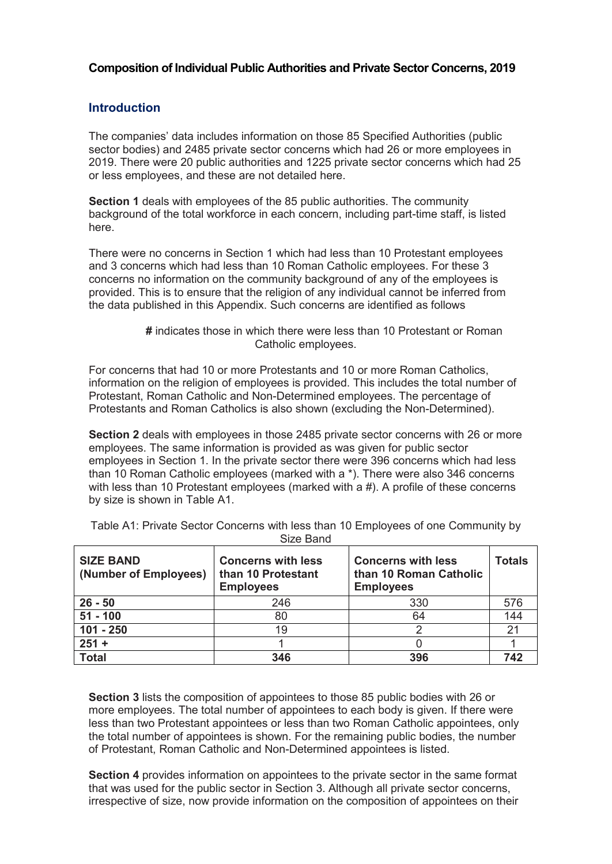## **Composition of Individual Public Authorities and Private Sector Concerns, 2019**

## **Introduction**

The companies' data includes information on those 85 Specified Authorities (public sector bodies) and 2485 private sector concerns which had 26 or more employees in 2019. There were 20 public authorities and 1225 private sector concerns which had 25 or less employees, and these are not detailed here.

**Section 1** deals with employees of the 85 public authorities. The community background of the total workforce in each concern, including part-time staff, is listed here.

There were no concerns in Section 1 which had less than 10 Protestant employees and 3 concerns which had less than 10 Roman Catholic employees. For these 3 concerns no information on the community background of any of the employees is provided. This is to ensure that the religion of any individual cannot be inferred from the data published in this Appendix. Such concerns are identified as follows

```
# indicates those in which there were less than 10 Protestant or Roman
         Catholic employees.
```
For concerns that had 10 or more Protestants and 10 or more Roman Catholics, information on the religion of employees is provided. This includes the total number of Protestant, Roman Catholic and Non-Determined employees. The percentage of Protestants and Roman Catholics is also shown (excluding the Non-Determined).

**Section 2** deals with employees in those 2485 private sector concerns with 26 or more employees. The same information is provided as was given for public sector employees in Section 1. In the private sector there were 396 concerns which had less than 10 Roman Catholic employees (marked with a \*). There were also 346 concerns with less than 10 Protestant employees (marked with a #). A profile of these concerns by size is shown in Table A1.

| <b>SIZE BAND</b><br>(Number of Employees) | <b>Concerns with less</b><br>than 10 Protestant<br><b>Employees</b> | <b>Concerns with less</b><br>than 10 Roman Catholic<br><b>Employees</b> | <b>Totals</b> |
|-------------------------------------------|---------------------------------------------------------------------|-------------------------------------------------------------------------|---------------|
| $26 - 50$                                 | 246                                                                 | 330                                                                     | 576           |
| $51 - 100$                                | 80                                                                  | 64                                                                      | 144           |
| $101 - 250$                               | 19                                                                  |                                                                         | $2\cdot$      |
| $251 +$                                   |                                                                     |                                                                         |               |
| <b>Total</b>                              | 346                                                                 | 396                                                                     | 742           |

Table A1: Private Sector Concerns with less than 10 Employees of one Community by Size Band

**Section 3** lists the composition of appointees to those 85 public bodies with 26 or more employees. The total number of appointees to each body is given. If there were less than two Protestant appointees or less than two Roman Catholic appointees, only the total number of appointees is shown. For the remaining public bodies, the number of Protestant, Roman Catholic and Non-Determined appointees is listed.

**Section 4** provides information on appointees to the private sector in the same format that was used for the public sector in Section 3. Although all private sector concerns, irrespective of size, now provide information on the composition of appointees on their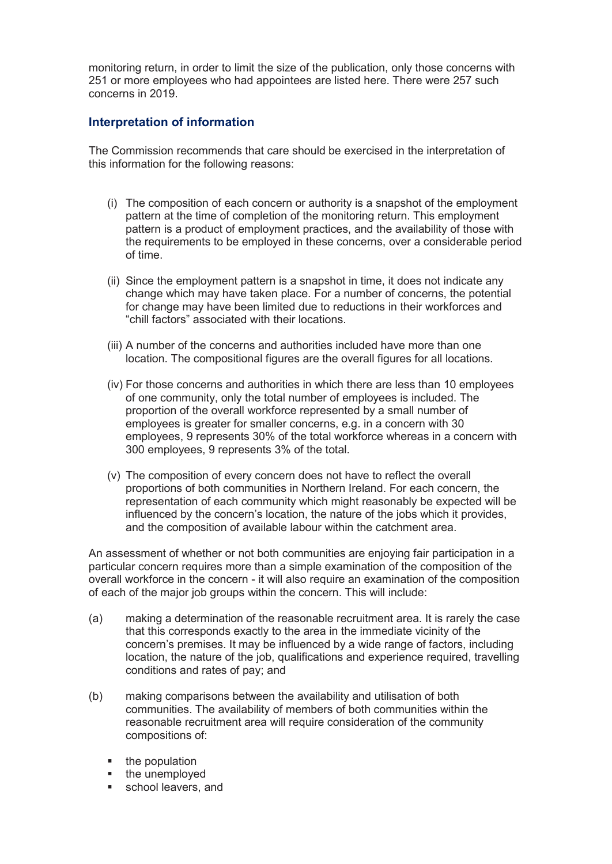monitoring return, in order to limit the size of the publication, only those concerns with 251 or more employees who had appointees are listed here. There were 257 such concerns in 2019.

## **Interpretation of information**

The Commission recommends that care should be exercised in the interpretation of this information for the following reasons:

- (i) The composition of each concern or authority is a snapshot of the employment pattern at the time of completion of the monitoring return. This employment pattern is a product of employment practices, and the availability of those with the requirements to be employed in these concerns, over a considerable period of time.
- (ii) Since the employment pattern is a snapshot in time, it does not indicate any change which may have taken place. For a number of concerns, the potential for change may have been limited due to reductions in their workforces and "chill factors" associated with their locations.
- (iii) A number of the concerns and authorities included have more than one location. The compositional figures are the overall figures for all locations.
- (iv) For those concerns and authorities in which there are less than 10 employees of one community, only the total number of employees is included. The proportion of the overall workforce represented by a small number of employees is greater for smaller concerns, e.g. in a concern with 30 employees, 9 represents 30% of the total workforce whereas in a concern with 300 employees, 9 represents 3% of the total.
- (v) The composition of every concern does not have to reflect the overall proportions of both communities in Northern Ireland. For each concern, the representation of each community which might reasonably be expected will be influenced by the concern's location, the nature of the jobs which it provides, and the composition of available labour within the catchment area.

An assessment of whether or not both communities are enjoying fair participation in a particular concern requires more than a simple examination of the composition of the overall workforce in the concern - it will also require an examination of the composition of each of the major job groups within the concern. This will include:

- (a) making a determination of the reasonable recruitment area. It is rarely the case that this corresponds exactly to the area in the immediate vicinity of the concern's premises. It may be influenced by a wide range of factors, including location, the nature of the job, qualifications and experience required, travelling conditions and rates of pay; and
- (b) making comparisons between the availability and utilisation of both communities. The availability of members of both communities within the reasonable recruitment area will require consideration of the community compositions of:
	- $\blacksquare$  the population
	- the unemployed
	- school leavers, and